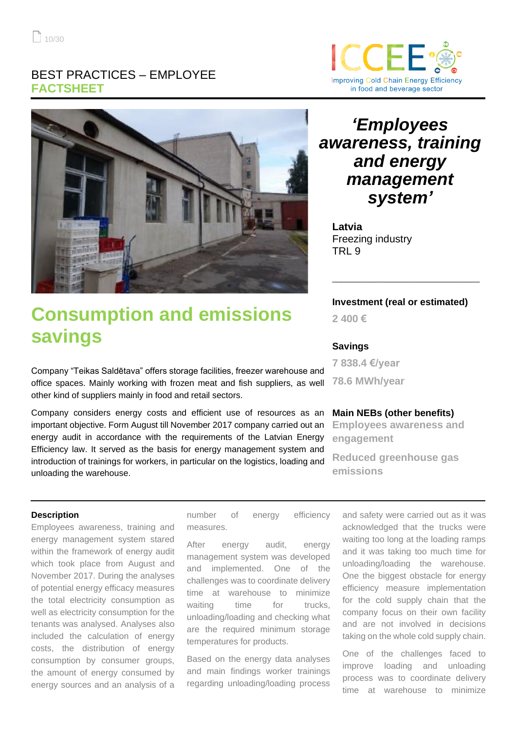### BEST PRACTICES – EMPLOYEE **FACTSHEET**





# **Consumption and emissions savings**

Company "Teikas Saldētava" offers storage facilities, freezer warehouse and office spaces. Mainly working with frozen meat and fish suppliers, as well other kind of suppliers mainly in food and retail sectors.

Company considers energy costs and efficient use of resources as an important objective. Form August till November 2017 company carried out an energy audit in accordance with the requirements of the Latvian Energy Efficiency law. It served as the basis for energy management system and introduction of trainings for workers, in particular on the logistics, loading and unloading the warehouse.

## *'Employees awareness, training and energy management system'*

**Latvia** Freezing industry TRI 9

### **Investment (real or estimated)**

\_\_\_\_\_\_\_\_\_\_\_\_\_\_\_\_\_\_\_\_\_\_\_\_\_\_\_\_\_\_\_\_\_\_

**2 400 €**

### **Savings**

**7 838.4 €/year 78.6 MWh/year**

### **Main NEBs (other benefits)**

**Employees awareness and engagement**

**Reduced greenhouse gas emissions**

#### **Description**

Employees awareness, training and energy management system stared within the framework of energy audit which took place from August and November 2017. During the analyses of potential energy efficacy measures the total electricity consumption as well as electricity consumption for the tenants was analysed. Analyses also included the calculation of energy costs, the distribution of energy consumption by consumer groups, the amount of energy consumed by energy sources and an analysis of a

number of energy efficiency measures.

After energy audit, energy management system was developed and implemented. One of the challenges was to coordinate delivery time at warehouse to minimize waiting time for trucks, unloading/loading and checking what are the required minimum storage temperatures for products.

Based on the energy data analyses and main findings worker trainings regarding unloading/loading process

and safety were carried out as it was acknowledged that the trucks were waiting too long at the loading ramps and it was taking too much time for unloading/loading the warehouse. One the biggest obstacle for energy efficiency measure implementation for the cold supply chain that the company focus on their own facility and are not involved in decisions taking on the whole cold supply chain.

One of the challenges faced to improve loading and unloading process was to coordinate delivery time at warehouse to minimize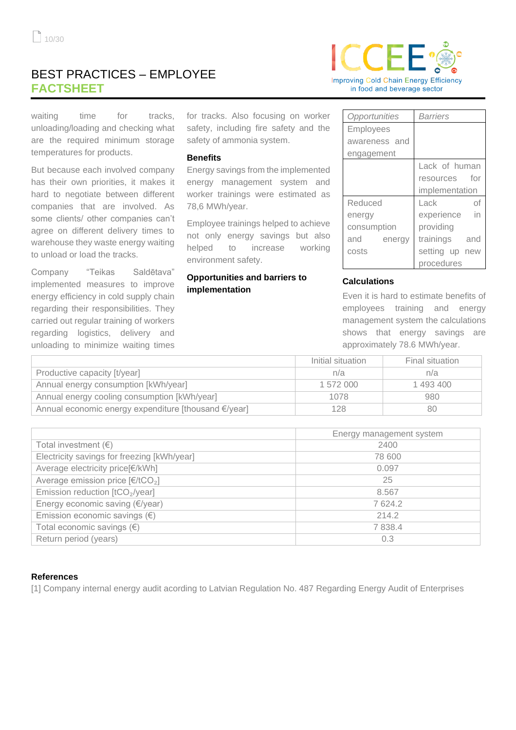### BEST PRACTICES – EMPLOYEE **FACTSHEET**



waiting time for tracks, unloading/loading and checking what are the required minimum storage temperatures for products.

But because each involved company has their own priorities, it makes it hard to negotiate between different companies that are involved. As some clients/ other companies can't agree on different delivery times to warehouse they waste energy waiting to unload or load the tracks.

Company "Teikas Saldētava" implemented measures to improve energy efficiency in cold supply chain regarding their responsibilities. They carried out regular training of workers regarding logistics, delivery and unloading to minimize waiting times for tracks. Also focusing on worker safety, including fire safety and the safety of ammonia system.

### **Benefits**

Energy savings from the implemented energy management system and worker trainings were estimated as 78,6 MWh/year.

Employee trainings helped to achieve not only energy savings but also helped to increase working environment safety.

### **Opportunities and barriers to implementation**

| Opportunities    | <b>Barriers</b> |
|------------------|-----------------|
| <b>Employees</b> |                 |
| awareness and    |                 |
| engagement       |                 |
|                  | Lack of human   |
|                  | resources for   |
|                  | implementation  |
| Reduced          | Lack<br>of      |
| energy           | experience in   |
| consumption      | providing       |
| and<br>energy    | trainings and   |
| costs            | setting up new  |
|                  | procedures      |

### **Calculations**

Even it is hard to estimate benefits of employees training and energy management system the calculations shows that energy savings are approximately 78.6 MWh/year.

|                                                      | Initial situation | Final situation |
|------------------------------------------------------|-------------------|-----------------|
| Productive capacity [t/year]                         | n/a               | n/a             |
| Annual energy consumption [kWh/year]                 | 1 572 000         | 1 493 400       |
| Annual energy cooling consumption [kWh/year]         | 1078              | 980             |
| Annual economic energy expenditure [thousand €/year] | 128               | 80              |

|                                                               | Energy management system |  |
|---------------------------------------------------------------|--------------------------|--|
| Total investment $(\epsilon)$                                 | 2400                     |  |
| Electricity savings for freezing [kWh/year]                   | 78 600                   |  |
| Average electricity price[€/kWh]                              | 0.097                    |  |
| Average emission price $\lceil \frac{\epsilon}{tCO_2} \rceil$ | 25                       |  |
| Emission reduction [tCO <sub>2</sub> /year]                   | 8.567                    |  |
| Energy economic saving (€/year)                               | 7624.2                   |  |
| Emission economic savings $(\epsilon)$                        | 214.2                    |  |
| Total economic savings $(\epsilon)$                           | 7 8 3 8.4                |  |
| Return period (years)                                         | 0.3                      |  |

### **References**

[1] Company internal energy audit acording to Latvian Regulation No. 487 Regarding Energy Audit of Enterprises